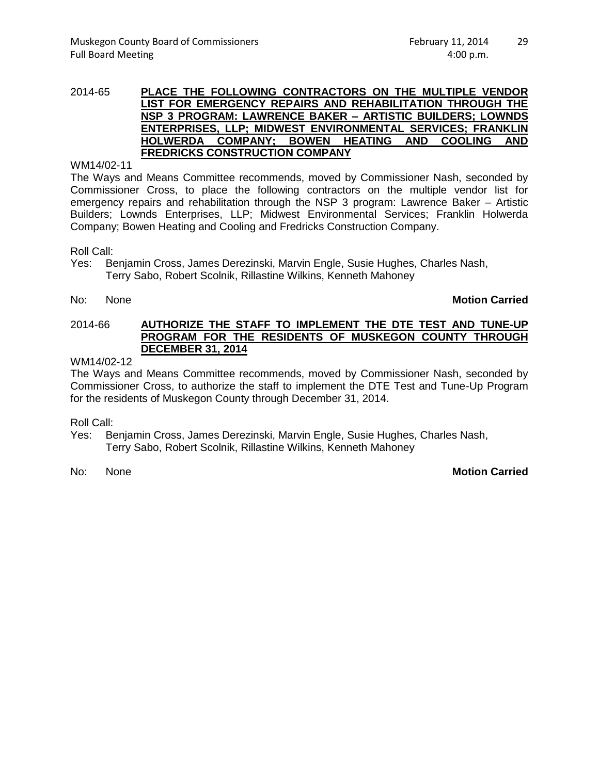#### 2014-65 **PLACE THE FOLLOWING CONTRACTORS ON THE MULTIPLE VENDOR LIST FOR EMERGENCY REPAIRS AND REHABILITATION THROUGH THE NSP 3 PROGRAM: LAWRENCE BAKER – ARTISTIC BUILDERS; LOWNDS ENTERPRISES, LLP; MIDWEST ENVIRONMENTAL SERVICES; FRANKLIN HOLWERDA COMPANY; BOWEN HEATING AND COOLING FREDRICKS CONSTRUCTION COMPANY**

WM14/02-11

The Ways and Means Committee recommends, moved by Commissioner Nash, seconded by Commissioner Cross, to place the following contractors on the multiple vendor list for emergency repairs and rehabilitation through the NSP 3 program: Lawrence Baker – Artistic Builders; Lownds Enterprises, LLP; Midwest Environmental Services; Franklin Holwerda Company; Bowen Heating and Cooling and Fredricks Construction Company.

Roll Call:

- Yes: Benjamin Cross, James Derezinski, Marvin Engle, Susie Hughes, Charles Nash, Terry Sabo, Robert Scolnik, Rillastine Wilkins, Kenneth Mahoney
- 

## No: None **Motion Carried**

### 2014-66 **AUTHORIZE THE STAFF TO IMPLEMENT THE DTE TEST AND TUNE-UP PROGRAM FOR THE RESIDENTS OF MUSKEGON COUNTY THROUGH DECEMBER 31, 2014**

### WM14/02-12

The Ways and Means Committee recommends, moved by Commissioner Nash, seconded by Commissioner Cross, to authorize the staff to implement the DTE Test and Tune-Up Program for the residents of Muskegon County through December 31, 2014.

Roll Call:

- Yes: Benjamin Cross, James Derezinski, Marvin Engle, Susie Hughes, Charles Nash, Terry Sabo, Robert Scolnik, Rillastine Wilkins, Kenneth Mahoney
- 

# No: None **Motion Carried**